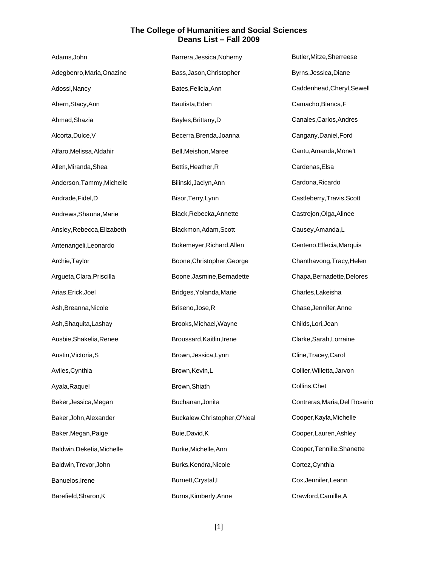| Adams, John                | Barrera, Jessica, Nohemy      | Butler, Mitze, Sherreese      |
|----------------------------|-------------------------------|-------------------------------|
| Adegbenro, Maria, Onazine  | Bass, Jason, Christopher      | Byrns, Jessica, Diane         |
| Adossi, Nancy              | Bates, Felicia, Ann           | Caddenhead, Cheryl, Sewell    |
| Ahern, Stacy, Ann          | Bautista, Eden                | Camacho, Bianca, F            |
| Ahmad, Shazia              | Bayles, Brittany, D           | Canales, Carlos, Andres       |
| Alcorta, Dulce, V          | Becerra, Brenda, Joanna       | Cangany, Daniel, Ford         |
| Alfaro, Melissa, Aldahir   | Bell, Meishon, Maree          | Cantu, Amanda, Mone't         |
| Allen, Miranda, Shea       | Bettis, Heather, R            | Cardenas, Elsa                |
| Anderson, Tammy, Michelle  | Bilinski, Jaclyn, Ann         | Cardona, Ricardo              |
| Andrade, Fidel, D          | Bisor, Terry, Lynn            | Castleberry, Travis, Scott    |
| Andrews, Shauna, Marie     | Black, Rebecka, Annette       | Castrejon, Olga, Alinee       |
| Ansley, Rebecca, Elizabeth | Blackmon, Adam, Scott         | Causey, Amanda, L             |
| Antenangeli, Leonardo      | Bokemeyer, Richard, Allen     | Centeno, Ellecia, Marquis     |
| Archie, Taylor             | Boone, Christopher, George    | Chanthavong, Tracy, Helen     |
| Argueta, Clara, Priscilla  | Boone, Jasmine, Bernadette    | Chapa, Bernadette, Delores    |
| Arias, Erick, Joel         | Bridges, Yolanda, Marie       | Charles, Lakeisha             |
| Ash, Breanna, Nicole       | Briseno, Jose, R              | Chase, Jennifer, Anne         |
| Ash, Shaquita, Lashay      | Brooks, Michael, Wayne        | Childs, Lori, Jean            |
| Ausbie, Shakelia, Renee    | Broussard, Kaitlin, Irene     | Clarke, Sarah, Lorraine       |
| Austin, Victoria, S        | Brown, Jessica, Lynn          | Cline, Tracey, Carol          |
| Aviles, Cynthia            | Brown, Kevin, L               | Collier, Willetta, Jarvon     |
| Ayala, Raquel              | Brown, Shiath                 | Collins, Chet                 |
| Baker, Jessica, Megan      | Buchanan, Jonita              | Contreras, Maria, Del Rosario |
| Baker, John, Alexander     | Buckalew, Christopher, O'Neal | Cooper, Kayla, Michelle       |
| Baker, Megan, Paige        | Buie, David, K                | Cooper, Lauren, Ashley        |
| Baldwin, Deketia, Michelle | Burke, Michelle, Ann          | Cooper, Tennille, Shanette    |
| Baldwin, Trevor, John      | Burks, Kendra, Nicole         | Cortez, Cynthia               |
| Banuelos, Irene            | Burnett, Crystal, I           | Cox, Jennifer, Leann          |
| Barefield, Sharon, K       | Burns, Kimberly, Anne         | Crawford, Camille, A          |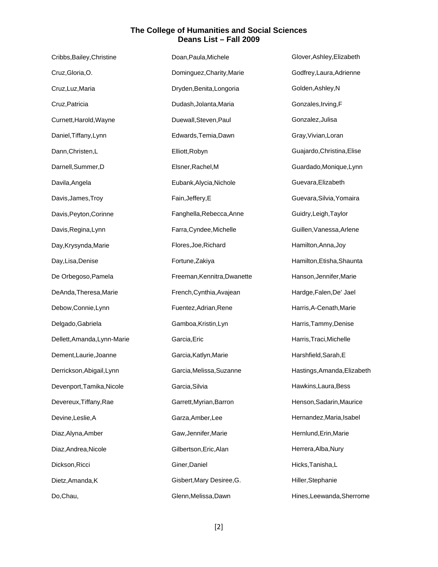| Cribbs, Bailey, Christine   | Doan, Paula, Michele        | Glover, Ashley, Elizabeth   |
|-----------------------------|-----------------------------|-----------------------------|
| Cruz, Gloria, O.            | Dominguez, Charity, Marie   | Godfrey, Laura, Adrienne    |
| Cruz, Luz, Maria            | Dryden, Benita, Longoria    | Golden, Ashley, N           |
| Cruz, Patricia              | Dudash, Jolanta, Maria      | Gonzales, Irving, F         |
| Curnett, Harold, Wayne      | Duewall, Steven, Paul       | Gonzalez, Julisa            |
| Daniel, Tiffany, Lynn       | Edwards, Temia, Dawn        | Gray, Vivian, Loran         |
| Dann, Christen, L           | Elliott, Robyn              | Guajardo, Christina, Elise  |
| Darnell, Summer, D          | Elsner, Rachel, M           | Guardado, Monique, Lynn     |
| Davila, Angela              | Eubank, Alycia, Nichole     | Guevara, Elizabeth          |
| Davis, James, Troy          | Fain, Jeffery, E            | Guevara, Silvia, Yomaira    |
| Davis, Peyton, Corinne      | Fanghella, Rebecca, Anne    | Guidry, Leigh, Taylor       |
| Davis, Regina, Lynn         | Farra, Cyndee, Michelle     | Guillen, Vanessa, Arlene    |
| Day, Krysynda, Marie        | Flores, Joe, Richard        | Hamilton, Anna, Joy         |
| Day, Lisa, Denise           | Fortune, Zakiya             | Hamilton, Etisha, Shaunta   |
| De Orbegoso, Pamela         | Freeman, Kennitra, Dwanette | Hanson, Jennifer, Marie     |
| DeAnda, Theresa, Marie      | French, Cynthia, Avajean    | Hardge, Falen, De' Jael     |
| Debow, Connie, Lynn         | Fuentez, Adrian, Rene       | Harris, A-Cenath, Marie     |
| Delgado, Gabriela           | Gamboa, Kristin, Lyn        | Harris, Tammy, Denise       |
| Dellett, Amanda, Lynn-Marie | Garcia, Eric                | Harris, Traci, Michelle     |
| Dement, Laurie, Joanne      | Garcia, Katlyn, Marie       | Harshfield, Sarah, E        |
| Derrickson, Abigail, Lynn   | Garcia, Melissa, Suzanne    | Hastings, Amanda, Elizabeth |
| Devenport, Tamika, Nicole   | Garcia, Silvia              | Hawkins, Laura, Bess        |
| Devereux, Tiffany, Rae      | Garrett, Myrian, Barron     | Henson, Sadarin, Maurice    |
| Devine, Leslie, A           | Garza, Amber, Lee           | Hernandez, Maria, Isabel    |
| Diaz, Alyna, Amber          | Gaw, Jennifer, Marie        | Hernlund, Erin, Marie       |
| Diaz, Andrea, Nicole        | Gilbertson, Eric, Alan      | Herrera, Alba, Nury         |
| Dickson, Ricci              | Giner, Daniel               | Hicks, Tanisha, L           |
| Dietz, Amanda, K            | Gisbert, Mary Desiree, G.   | Hiller, Stephanie           |
| Do, Chau,                   | Glenn, Melissa, Dawn        | Hines, Leewanda, Sherrome   |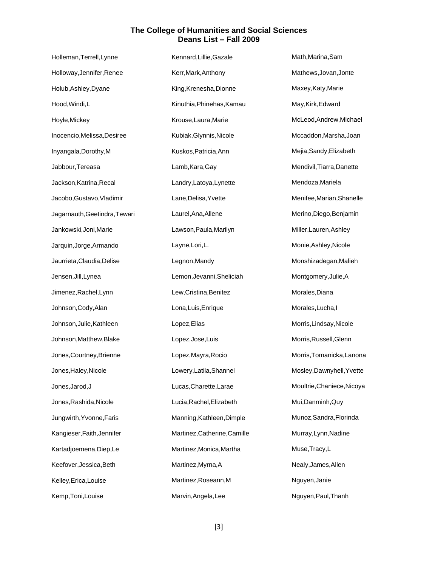| Holleman, Terrell, Lynne      | Kennard, Lillie, Gazale      | Math, Marina, Sam          |
|-------------------------------|------------------------------|----------------------------|
| Holloway, Jennifer, Renee     | Kerr, Mark, Anthony          | Mathews, Jovan, Jonte      |
| Holub, Ashley, Dyane          | King, Krenesha, Dionne       | Maxey, Katy, Marie         |
| Hood, Windi, L                | Kinuthia, Phinehas, Kamau    | May, Kirk, Edward          |
| Hoyle, Mickey                 | Krouse, Laura, Marie         | McLeod, Andrew, Michael    |
| Inocencio, Melissa, Desiree   | Kubiak, Glynnis, Nicole      | Mccaddon, Marsha, Joan     |
| Inyangala, Dorothy, M         | Kuskos, Patricia, Ann        | Mejia, Sandy, Elizabeth    |
| Jabbour, Tereasa              | Lamb, Kara, Gay              | Mendivil, Tiarra, Danette  |
| Jackson, Katrina, Recal       | Landry, Latoya, Lynette      | Mendoza, Mariela           |
| Jacobo, Gustavo, Vladimir     | Lane, Delisa, Yvette         | Menifee, Marian, Shanelle  |
| Jagarnauth, Geetindra, Tewari | Laurel, Ana, Allene          | Merino, Diego, Benjamin    |
| Jankowski, Joni, Marie        | Lawson, Paula, Marilyn       | Miller, Lauren, Ashley     |
| Jarquin, Jorge, Armando       | Layne, Lori, L.              | Monie, Ashley, Nicole      |
| Jaurrieta, Claudia, Delise    | Legnon, Mandy                | Monshizadegan, Malieh      |
| Jensen, Jill, Lynea           | Lemon, Jevanni, Sheliciah    | Montgomery, Julie, A       |
| Jimenez, Rachel, Lynn         | Lew, Cristina, Benitez       | Morales, Diana             |
| Johnson, Cody, Alan           | Lona, Luis, Enrique          | Morales, Lucha, I          |
| Johnson, Julie, Kathleen      | Lopez, Elias                 | Morris, Lindsay, Nicole    |
| Johnson, Matthew, Blake       | Lopez, Jose, Luis            | Morris, Russell, Glenn     |
| Jones, Courtney, Brienne      | Lopez, Mayra, Rocio          | Morris, Tomanicka, Lanona  |
| Jones, Haley, Nicole          | Lowery, Latila, Shannel      | Mosley, Dawnyhell, Yvette  |
| Jones, Jarod, J               | Lucas, Charette, Larae       | Moultrie, Chaniece, Nicoya |
| Jones, Rashida, Nicole        | Lucia, Rachel, Elizabeth     | Mui, Danminh, Quy          |
| Jungwirth, Yvonne, Faris      | Manning, Kathleen, Dimple    | Munoz, Sandra, Florinda    |
| Kangieser, Faith, Jennifer    | Martinez, Catherine, Camille | Murray, Lynn, Nadine       |
| Kartadjoemena, Diep, Le       | Martinez, Monica, Martha     | Muse, Tracy, L             |
| Keefover, Jessica, Beth       | Martinez, Myrna, A           | Nealy, James, Allen        |
| Kelley, Erica, Louise         | Martinez, Roseann, M         | Nguyen, Janie              |
| Kemp, Toni, Louise            | Marvin, Angela, Lee          | Nguyen, Paul, Thanh        |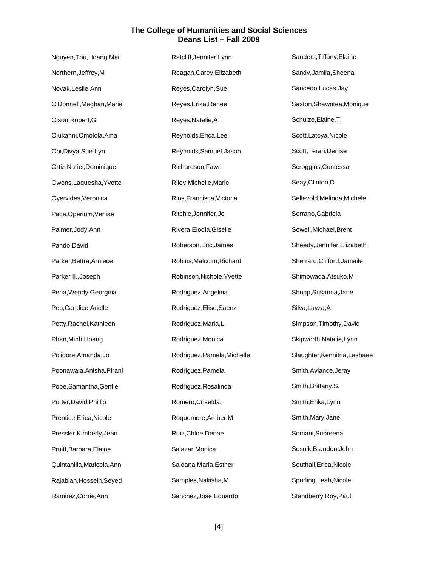| Nguyen, Thu, Hoang Mai     | Ratcliff, Jennifer, Lynn    | Sanders, Tiffany, Elaine      |
|----------------------------|-----------------------------|-------------------------------|
| Northern, Jeffrey, M       | Reagan, Carey, Elizabeth    | Sandy, Jamila, Sheena         |
| Novak, Leslie, Ann         | Reyes, Carolyn, Sue         | Saucedo, Lucas, Jay           |
| O'Donnell, Meghan, Marie   | Reyes, Erika, Renee         | Saxton, Shawntea, Monique     |
| Olson, Robert, G           | Reyes, Natalie, A           | Schulze, Elaine, T.           |
| Olukanni, Omolola, Aina    | Reynolds, Erica, Lee        | Scott, Latoya, Nicole         |
| Ooi, Divya, Sue-Lyn        | Reynolds, Samuel, Jason     | Scott, Terah, Denise          |
| Ortiz, Nariel, Dominique   | Richardson, Fawn            | Scroggins, Contessa           |
| Owens, Laquesha, Yvette    | Riley, Michelle, Marie      | Seay, Clinton, D              |
| Oyervides, Veronica        | Rios, Francisca, Victoria   | Sellevold, Melinda, Michele   |
| Pace, Operium, Venise      | Ritchie, Jennifer, Jo       | Serrano, Gabriela             |
| Palmer, Jody, Ann          | Rivera, Elodia, Giselle     | Sewell, Michael, Brent        |
| Pando, David               | Roberson, Eric, James       | Sheedy, Jennifer, Elizabeth   |
| Parker, Bettra, Arniece    | Robins, Malcolm, Richard    | Sherrard, Clifford, Jamaile   |
| Parker II., Joseph         | Robinson, Nichole, Yvette   | Shimowada, Atsuko, M          |
| Pena, Wendy, Georgina      | Rodriguez, Angelina         | Shupp, Susanna, Jane          |
| Pep, Candice, Arielle      | Rodriguez, Elise, Saenz     | Silva, Layza, A               |
| Petty, Rachel, Kathleen    | Rodriguez, Maria, L         | Simpson, Timothy, David       |
| Phan, Minh, Hoang          | Rodriguez, Monica           | Skipworth, Natalie, Lynn      |
| Polidore, Amanda, Jo       | Rodriguez, Pamela, Michelle | Slaughter, Kennitria, Lashaee |
| Poonawala, Anisha, Pirani  | Rodriguez, Pamela           | Smith, Aviance, Jeray         |
| Pope, Samantha, Gentle     | Rodriguez, Rosalinda        | Smith, Brittany, S.           |
| Porter, David, Phillip     | Romero, Criselda,           | Smith, Erika, Lynn            |
| Prentice, Erica, Nicole    | Roquemore, Amber, M         | Smith, Mary, Jane             |
| Pressler, Kimberly, Jean   | Ruiz, Chloe, Denae          | Somani, Subreena,             |
| Pruitt, Barbara, Elaine    | Salazar, Monica             | Sosnik, Brandon, John         |
| Quintanilla, Maricela, Ann | Saldana, Maria, Esther      | Southall, Erica, Nicole       |
| Rajabian, Hossein, Seyed   | Samples, Nakisha, M         | Spurling, Leah, Nicole        |
| Ramirez, Corrie, Ann       | Sanchez, Jose, Eduardo      | Standberry, Roy, Paul         |